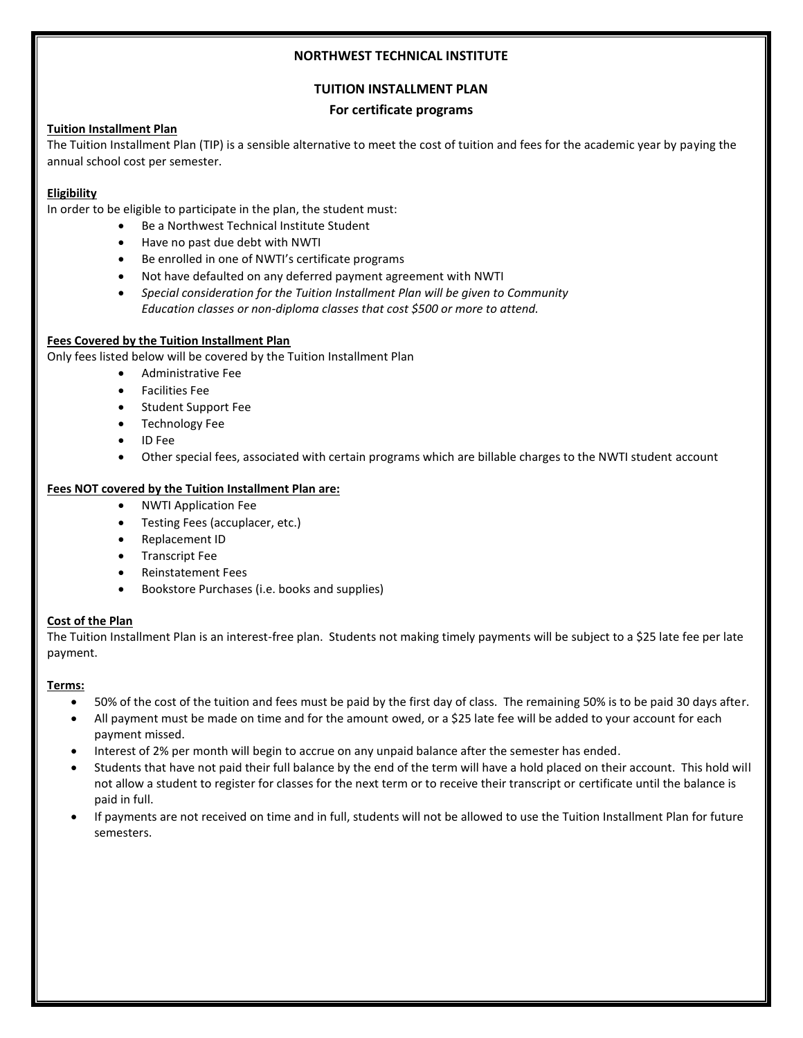### **NORTHWEST TECHNICAL INSTITUTE**

# **TUITION INSTALLMENT PLAN**

## **For certificate programs**

# **Tuition Installment Plan**

The Tuition Installment Plan (TIP) is a sensible alternative to meet the cost of tuition and fees for the academic year by paying the annual school cost per semester.

# **Eligibility**

In order to be eligible to participate in the plan, the student must:

- Be a Northwest Technical Institute Student
- Have no past due debt with NWTI
- Be enrolled in one of NWTI's certificate programs
- Not have defaulted on any deferred payment agreement with NWTI
- *Special consideration for the Tuition Installment Plan will be given to Community Education classes or non-diploma classes that cost \$500 or more to attend.*

#### **Fees Covered by the Tuition Installment Plan**

Only fees listed below will be covered by the Tuition Installment Plan

- Administrative Fee
- Facilities Fee
- Student Support Fee
- **•** Technology Fee
- ID Fee
- Other special fees, associated with certain programs which are billable charges to the NWTI student account

#### **Fees NOT covered by the Tuition Installment Plan are:**

- NWTI Application Fee
- Testing Fees (accuplacer, etc.)
- Replacement ID
- **•** Transcript Fee
- Reinstatement Fees
- Bookstore Purchases (i.e. books and supplies)

#### **Cost of the Plan**

The Tuition Installment Plan is an interest-free plan. Students not making timely payments will be subject to a \$25 late fee per late payment.

### **Terms:**

- 50% of the cost of the tuition and fees must be paid by the first day of class. The remaining 50% is to be paid 30 days after.
- All payment must be made on time and for the amount owed, or a \$25 late fee will be added to your account for each payment missed.
- Interest of 2% per month will begin to accrue on any unpaid balance after the semester has ended.
- Students that have not paid their full balance by the end of the term will have a hold placed on their account. This hold will not allow a student to register for classes for the next term or to receive their transcript or certificate until the balance is paid in full.
- If payments are not received on time and in full, students will not be allowed to use the Tuition Installment Plan for future semesters.